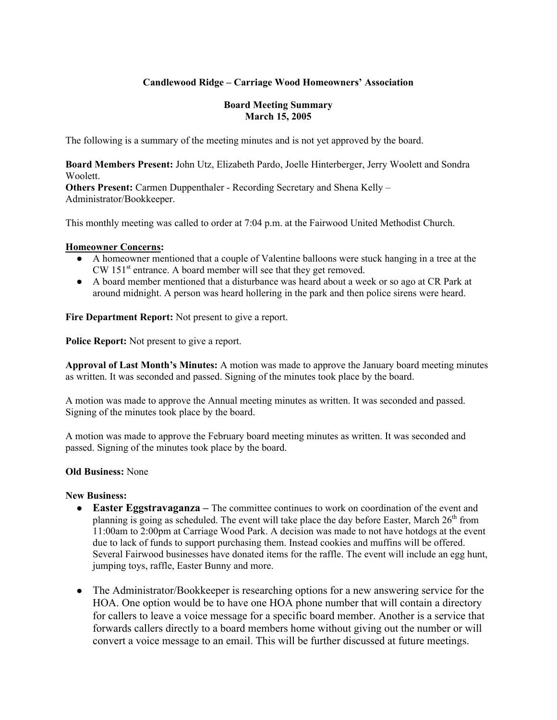## **Candlewood Ridge – Carriage Wood Homeowners' Association**

#### **Board Meeting Summary March 15, 2005**

The following is a summary of the meeting minutes and is not yet approved by the board.

**Board Members Present:** John Utz, Elizabeth Pardo, Joelle Hinterberger, Jerry Woolett and Sondra Woolett.

**Others Present:** Carmen Duppenthaler - Recording Secretary and Shena Kelly – Administrator/Bookkeeper.

This monthly meeting was called to order at 7:04 p.m. at the Fairwood United Methodist Church.

#### **Homeowner Concerns:**

- A homeowner mentioned that a couple of Valentine balloons were stuck hanging in a tree at the CW 151<sup>st</sup> entrance. A board member will see that they get removed.
- A board member mentioned that a disturbance was heard about a week or so ago at CR Park at around midnight. A person was heard hollering in the park and then police sirens were heard.

**Fire Department Report:** Not present to give a report.

**Police Report:** Not present to give a report.

**Approval of Last Month's Minutes:** A motion was made to approve the January board meeting minutes as written. It was seconded and passed. Signing of the minutes took place by the board.

A motion was made to approve the Annual meeting minutes as written. It was seconded and passed. Signing of the minutes took place by the board.

A motion was made to approve the February board meeting minutes as written. It was seconded and passed. Signing of the minutes took place by the board.

#### **Old Business:** None

#### **New Business:**

- **Easter Eggstravaganza** The committee continues to work on coordination of the event and planning is going as scheduled. The event will take place the day before Easter, March  $26<sup>th</sup>$  from 11:00am to 2:00pm at Carriage Wood Park. A decision was made to not have hotdogs at the event due to lack of funds to support purchasing them. Instead cookies and muffins will be offered. Several Fairwood businesses have donated items for the raffle. The event will include an egg hunt, jumping toys, raffle, Easter Bunny and more.
- The Administrator/Bookkeeper is researching options for a new answering service for the HOA. One option would be to have one HOA phone number that will contain a directory for callers to leave a voice message for a specific board member. Another is a service that forwards callers directly to a board members home without giving out the number or will convert a voice message to an email. This will be further discussed at future meetings.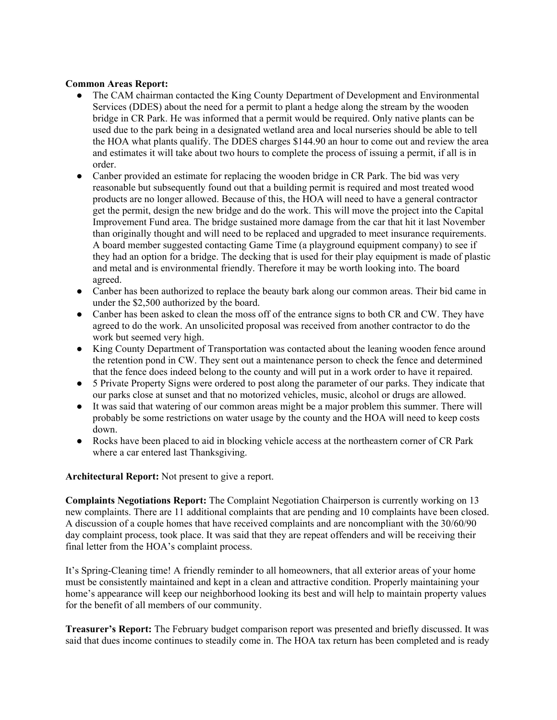### **Common Areas Report:**

- The CAM chairman contacted the King County Department of Development and Environmental Services (DDES) about the need for a permit to plant a hedge along the stream by the wooden bridge in CR Park. He was informed that a permit would be required. Only native plants can be used due to the park being in a designated wetland area and local nurseries should be able to tell the HOA what plants qualify. The DDES charges \$144.90 an hour to come out and review the area and estimates it will take about two hours to complete the process of issuing a permit, if all is in order.
- Canber provided an estimate for replacing the wooden bridge in CR Park. The bid was very reasonable but subsequently found out that a building permit is required and most treated wood products are no longer allowed. Because of this, the HOA will need to have a general contractor get the permit, design the new bridge and do the work. This will move the project into the Capital Improvement Fund area. The bridge sustained more damage from the car that hit it last November than originally thought and will need to be replaced and upgraded to meet insurance requirements. A board member suggested contacting Game Time (a playground equipment company) to see if they had an option for a bridge. The decking that is used for their play equipment is made of plastic and metal and is environmental friendly. Therefore it may be worth looking into. The board agreed.
- Canber has been authorized to replace the beauty bark along our common areas. Their bid came in under the \$2,500 authorized by the board.
- Canber has been asked to clean the moss off of the entrance signs to both CR and CW. They have agreed to do the work. An unsolicited proposal was received from another contractor to do the work but seemed very high.
- King County Department of Transportation was contacted about the leaning wooden fence around the retention pond in CW. They sent out a maintenance person to check the fence and determined that the fence does indeed belong to the county and will put in a work order to have it repaired.
- 5 Private Property Signs were ordered to post along the parameter of our parks. They indicate that our parks close at sunset and that no motorized vehicles, music, alcohol or drugs are allowed.
- It was said that watering of our common areas might be a major problem this summer. There will probably be some restrictions on water usage by the county and the HOA will need to keep costs down.
- Rocks have been placed to aid in blocking vehicle access at the northeastern corner of CR Park where a car entered last Thanksgiving.

**Architectural Report:** Not present to give a report.

**Complaints Negotiations Report:** The Complaint Negotiation Chairperson is currently working on 13 new complaints. There are 11 additional complaints that are pending and 10 complaints have been closed. A discussion of a couple homes that have received complaints and are noncompliant with the 30/60/90 day complaint process, took place. It was said that they are repeat offenders and will be receiving their final letter from the HOA's complaint process.

It's Spring-Cleaning time! A friendly reminder to all homeowners, that all exterior areas of your home must be consistently maintained and kept in a clean and attractive condition. Properly maintaining your home's appearance will keep our neighborhood looking its best and will help to maintain property values for the benefit of all members of our community.

**Treasurer's Report:** The February budget comparison report was presented and briefly discussed. It was said that dues income continues to steadily come in. The HOA tax return has been completed and is ready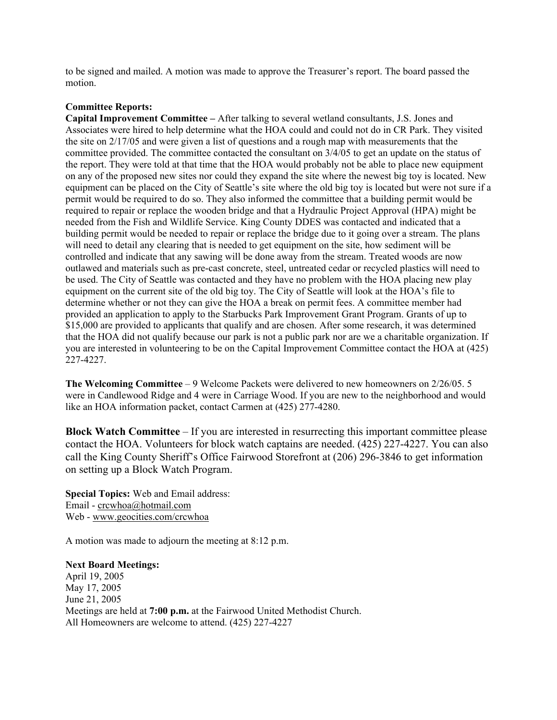to be signed and mailed. A motion was made to approve the Treasurer's report. The board passed the motion.

#### **Committee Reports:**

**Capital Improvement Committee –** After talking to several wetland consultants, J.S. Jones and Associates were hired to help determine what the HOA could and could not do in CR Park. They visited the site on 2/17/05 and were given a list of questions and a rough map with measurements that the committee provided. The committee contacted the consultant on 3/4/05 to get an update on the status of the report. They were told at that time that the HOA would probably not be able to place new equipment on any of the proposed new sites nor could they expand the site where the newest big toy is located. New equipment can be placed on the City of Seattle's site where the old big toy is located but were not sure if a permit would be required to do so. They also informed the committee that a building permit would be required to repair or replace the wooden bridge and that a Hydraulic Project Approval (HPA) might be needed from the Fish and Wildlife Service. King County DDES was contacted and indicated that a building permit would be needed to repair or replace the bridge due to it going over a stream. The plans will need to detail any clearing that is needed to get equipment on the site, how sediment will be controlled and indicate that any sawing will be done away from the stream. Treated woods are now outlawed and materials such as pre-cast concrete, steel, untreated cedar or recycled plastics will need to be used. The City of Seattle was contacted and they have no problem with the HOA placing new play equipment on the current site of the old big toy. The City of Seattle will look at the HOA's file to determine whether or not they can give the HOA a break on permit fees. A committee member had provided an application to apply to the Starbucks Park Improvement Grant Program. Grants of up to \$15,000 are provided to applicants that qualify and are chosen. After some research, it was determined that the HOA did not qualify because our park is not a public park nor are we a charitable organization. If you are interested in volunteering to be on the Capital Improvement Committee contact the HOA at (425) 227-4227.

**The Welcoming Committee** – 9 Welcome Packets were delivered to new homeowners on 2/26/05. 5 were in Candlewood Ridge and 4 were in Carriage Wood. If you are new to the neighborhood and would like an HOA information packet, contact Carmen at (425) 277-4280.

**Block Watch Committee** – If you are interested in resurrecting this important committee please contact the HOA. Volunteers for block watch captains are needed. (425) 227-4227. You can also call the King County Sheriff's Office Fairwood Storefront at (206) 296-3846 to get information on setting up a Block Watch Program.

**Special Topics:** Web and Email address: Email - crcwhoa@hotmail.com Web - www.geocities.com/crcwhoa

A motion was made to adjourn the meeting at 8:12 p.m.

**Next Board Meetings:** April 19, 2005 May 17, 2005 June 21, 2005 Meetings are held at **7:00 p.m.** at the Fairwood United Methodist Church. All Homeowners are welcome to attend. (425) 227-4227